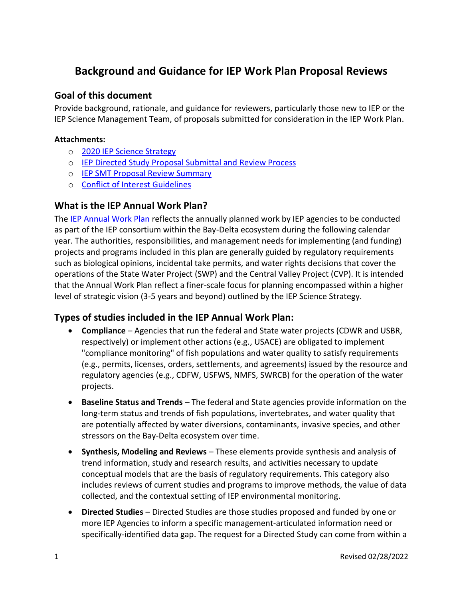# **Background and Guidance for IEP Work Plan Proposal Reviews**

#### **Goal of this document**

Provide background, rationale, and guidance for reviewers, particularly those new to IEP or the IEP Science Management Team, of proposals submitted for consideration in the IEP Work Plan.

#### **Attachments:**

- o 2020 [IEP Science Strategy](https://nrm.dfg.ca.gov/FileHandler.ashx?DocumentID=185011&inline)
- o [IEP Directed Study Proposal Submittal and Review Process](https://nrm.dfg.ca.gov/FileHandler.ashx?DocumentID=202108)
- o [IEP SMT Proposal Review Summary](https://nrm.dfg.ca.gov/FileHandler.ashx?DocumentID=202109)
- o [Conflict of Interest Guidelines](https://nrm.dfg.ca.gov/FileHandler.ashx?DocumentID=202107)

#### **What is the IEP Annual Work Plan?**

The [IEP Annual Work Plan](https://iep.ca.gov/Science-Synthesis-Service/Annual-Work-Plan) reflects the annually planned work by IEP agencies to be conducted as part of the IEP consortium within the Bay-Delta ecosystem during the following calendar year. The authorities, responsibilities, and management needs for implementing (and funding) projects and programs included in this plan are generally guided by regulatory requirements such as biological opinions, incidental take permits, and water rights decisions that cover the operations of the State Water Project (SWP) and the Central Valley Project (CVP). It is intended that the Annual Work Plan reflect a finer-scale focus for planning encompassed within a higher level of strategic vision (3-5 years and beyond) outlined by the IEP Science Strategy.

## **Types of studies included in the IEP Annual Work Plan:**

- **Compliance** Agencies that run the federal and State water projects (CDWR and USBR, respectively) or implement other actions (e.g., USACE) are obligated to implement "compliance monitoring" of fish populations and water quality to satisfy requirements (e.g., permits, licenses, orders, settlements, and agreements) issued by the resource and regulatory agencies (e.g., CDFW, USFWS, NMFS, SWRCB) for the operation of the water projects.
- **Baseline Status and Trends** The federal and State agencies provide information on the long-term status and trends of fish populations, invertebrates, and water quality that are potentially affected by water diversions, contaminants, invasive species, and other stressors on the Bay‐Delta ecosystem over time.
- **Synthesis, Modeling and Reviews** These elements provide synthesis and analysis of trend information, study and research results, and activities necessary to update conceptual models that are the basis of regulatory requirements. This category also includes reviews of current studies and programs to improve methods, the value of data collected, and the contextual setting of IEP environmental monitoring.
- **Directed Studies** Directed Studies are those studies proposed and funded by one or more IEP Agencies to inform a specific management‐articulated information need or specifically‐identified data gap. The request for a Directed Study can come from within a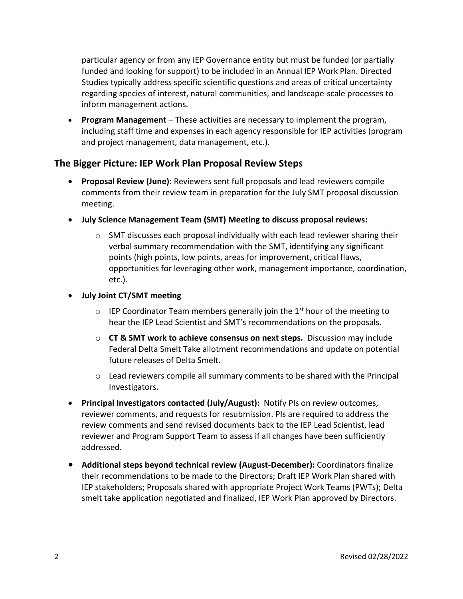particular agency or from any IEP Governance entity but must be funded (or partially funded and looking for support) to be included in an Annual IEP Work Plan. Directed Studies typically address specific scientific questions and areas of critical uncertainty regarding species of interest, natural communities, and landscape‐scale processes to inform management actions.

• **Program Management** – These activities are necessary to implement the program, including staff time and expenses in each agency responsible for IEP activities (program and project management, data management, etc.).

## **The Bigger Picture: IEP Work Plan Proposal Review Steps**

- **Proposal Review (June):** Reviewers sent full proposals and lead reviewers compile comments from their review team in preparation for the July SMT proposal discussion meeting.
- **July Science Management Team (SMT) Meeting to discuss proposal reviews:**
	- $\circ$  SMT discusses each proposal individually with each lead reviewer sharing their verbal summary recommendation with the SMT, identifying any significant points (high points, low points, areas for improvement, critical flaws, opportunities for leveraging other work, management importance, coordination, etc.).

#### • **July Joint CT/SMT meeting**

- $\circ$  IEP Coordinator Team members generally join the 1<sup>st</sup> hour of the meeting to hear the IEP Lead Scientist and SMT's recommendations on the proposals.
- o **CT & SMT work to achieve consensus on next steps.** Discussion may include Federal Delta Smelt Take allotment recommendations and update on potential future releases of Delta Smelt.
- $\circ$  Lead reviewers compile all summary comments to be shared with the Principal Investigators.
- **Principal Investigators contacted (July/August):** Notify PIs on review outcomes, reviewer comments, and requests for resubmission. PIs are required to address the review comments and send revised documents back to the IEP Lead Scientist, lead reviewer and Program Support Team to assess if all changes have been sufficiently addressed.
- **Additional steps beyond technical review (August-December):** Coordinators finalize their recommendations to be made to the Directors; Draft IEP Work Plan shared with IEP stakeholders; Proposals shared with appropriate Project Work Teams (PWTs); Delta smelt take application negotiated and finalized, IEP Work Plan approved by Directors.